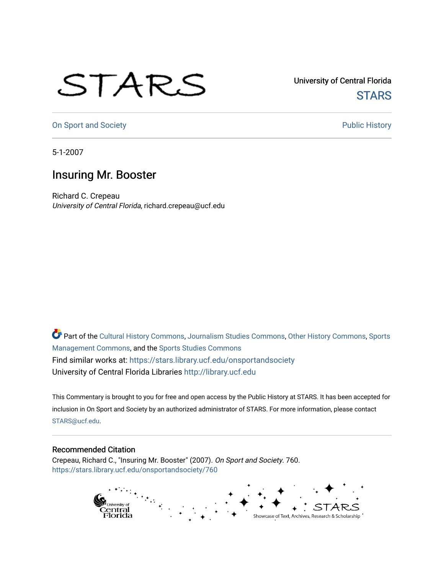## STARS

University of Central Florida **STARS** 

[On Sport and Society](https://stars.library.ucf.edu/onsportandsociety) **Public History** Public History

5-1-2007

## Insuring Mr. Booster

Richard C. Crepeau University of Central Florida, richard.crepeau@ucf.edu

Part of the [Cultural History Commons](http://network.bepress.com/hgg/discipline/496?utm_source=stars.library.ucf.edu%2Fonsportandsociety%2F760&utm_medium=PDF&utm_campaign=PDFCoverPages), [Journalism Studies Commons,](http://network.bepress.com/hgg/discipline/333?utm_source=stars.library.ucf.edu%2Fonsportandsociety%2F760&utm_medium=PDF&utm_campaign=PDFCoverPages) [Other History Commons,](http://network.bepress.com/hgg/discipline/508?utm_source=stars.library.ucf.edu%2Fonsportandsociety%2F760&utm_medium=PDF&utm_campaign=PDFCoverPages) [Sports](http://network.bepress.com/hgg/discipline/1193?utm_source=stars.library.ucf.edu%2Fonsportandsociety%2F760&utm_medium=PDF&utm_campaign=PDFCoverPages) [Management Commons](http://network.bepress.com/hgg/discipline/1193?utm_source=stars.library.ucf.edu%2Fonsportandsociety%2F760&utm_medium=PDF&utm_campaign=PDFCoverPages), and the [Sports Studies Commons](http://network.bepress.com/hgg/discipline/1198?utm_source=stars.library.ucf.edu%2Fonsportandsociety%2F760&utm_medium=PDF&utm_campaign=PDFCoverPages) Find similar works at: <https://stars.library.ucf.edu/onsportandsociety> University of Central Florida Libraries [http://library.ucf.edu](http://library.ucf.edu/) 

This Commentary is brought to you for free and open access by the Public History at STARS. It has been accepted for inclusion in On Sport and Society by an authorized administrator of STARS. For more information, please contact [STARS@ucf.edu](mailto:STARS@ucf.edu).

## Recommended Citation

Crepeau, Richard C., "Insuring Mr. Booster" (2007). On Sport and Society. 760. [https://stars.library.ucf.edu/onsportandsociety/760](https://stars.library.ucf.edu/onsportandsociety/760?utm_source=stars.library.ucf.edu%2Fonsportandsociety%2F760&utm_medium=PDF&utm_campaign=PDFCoverPages)

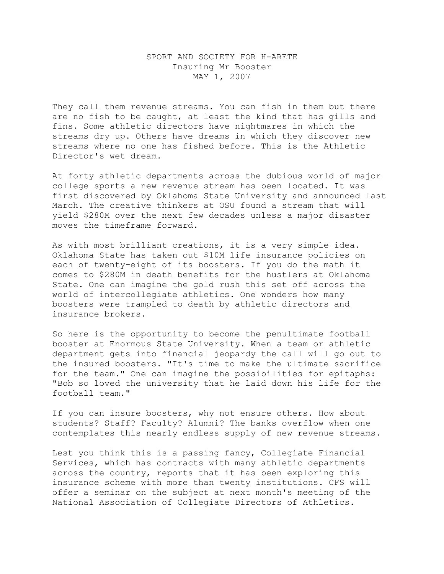## SPORT AND SOCIETY FOR H-ARETE Insuring Mr Booster MAY 1, 2007

They call them revenue streams. You can fish in them but there are no fish to be caught, at least the kind that has gills and fins. Some athletic directors have nightmares in which the streams dry up. Others have dreams in which they discover new streams where no one has fished before. This is the Athletic Director's wet dream.

At forty athletic departments across the dubious world of major college sports a new revenue stream has been located. It was first discovered by Oklahoma State University and announced last March. The creative thinkers at OSU found a stream that will yield \$280M over the next few decades unless a major disaster moves the timeframe forward.

As with most brilliant creations, it is a very simple idea. Oklahoma State has taken out \$10M life insurance policies on each of twenty-eight of its boosters. If you do the math it comes to \$280M in death benefits for the hustlers at Oklahoma State. One can imagine the gold rush this set off across the world of intercollegiate athletics. One wonders how many boosters were trampled to death by athletic directors and insurance brokers.

So here is the opportunity to become the penultimate football booster at Enormous State University. When a team or athletic department gets into financial jeopardy the call will go out to the insured boosters. "It's time to make the ultimate sacrifice for the team." One can imagine the possibilities for epitaphs: "Bob so loved the university that he laid down his life for the football team."

If you can insure boosters, why not ensure others. How about students? Staff? Faculty? Alumni? The banks overflow when one contemplates this nearly endless supply of new revenue streams.

Lest you think this is a passing fancy, Collegiate Financial Services, which has contracts with many athletic departments across the country, reports that it has been exploring this insurance scheme with more than twenty institutions. CFS will offer a seminar on the subject at next month's meeting of the National Association of Collegiate Directors of Athletics.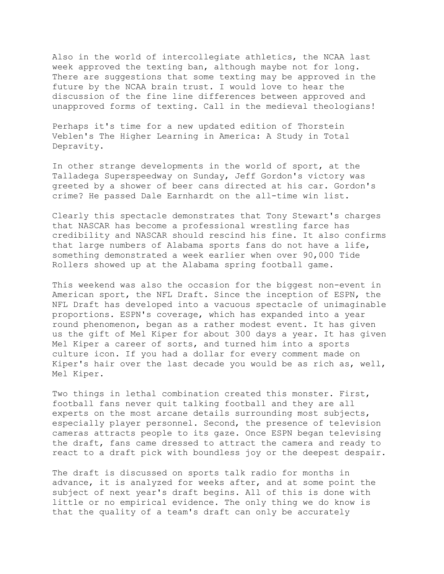Also in the world of intercollegiate athletics, the NCAA last week approved the texting ban, although maybe not for long. There are suggestions that some texting may be approved in the future by the NCAA brain trust. I would love to hear the discussion of the fine line differences between approved and unapproved forms of texting. Call in the medieval theologians!

Perhaps it's time for a new updated edition of Thorstein Veblen's The Higher Learning in America: A Study in Total Depravity.

In other strange developments in the world of sport, at the Talladega Superspeedway on Sunday, Jeff Gordon's victory was greeted by a shower of beer cans directed at his car. Gordon's crime? He passed Dale Earnhardt on the all-time win list.

Clearly this spectacle demonstrates that Tony Stewart's charges that NASCAR has become a professional wrestling farce has credibility and NASCAR should rescind his fine. It also confirms that large numbers of Alabama sports fans do not have a life, something demonstrated a week earlier when over 90,000 Tide Rollers showed up at the Alabama spring football game.

This weekend was also the occasion for the biggest non-event in American sport, the NFL Draft. Since the inception of ESPN, the NFL Draft has developed into a vacuous spectacle of unimaginable proportions. ESPN's coverage, which has expanded into a year round phenomenon, began as a rather modest event. It has given us the gift of Mel Kiper for about 300 days a year. It has given Mel Kiper a career of sorts, and turned him into a sports culture icon. If you had a dollar for every comment made on Kiper's hair over the last decade you would be as rich as, well, Mel Kiper.

Two things in lethal combination created this monster. First, football fans never quit talking football and they are all experts on the most arcane details surrounding most subjects, especially player personnel. Second, the presence of television cameras attracts people to its gaze. Once ESPN began televising the draft, fans came dressed to attract the camera and ready to react to a draft pick with boundless joy or the deepest despair.

The draft is discussed on sports talk radio for months in advance, it is analyzed for weeks after, and at some point the subject of next year's draft begins. All of this is done with little or no empirical evidence. The only thing we do know is that the quality of a team's draft can only be accurately